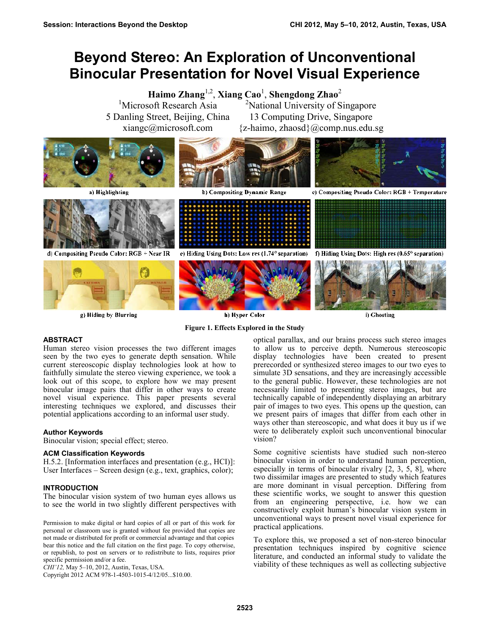# **Beyond Stereo: An Exploration of Unconventional Binocular Presentation for Novel Visual Experience**

**Haimo Zhang**1,2 , **Xiang Cao**<sup>1</sup> , **Shengdong Zhao**<sup>2</sup> <sup>1</sup>Microsoft Research Asia 5 Danling Street, Beijing, China xiangc@microsoft.com <sup>2</sup>National University of Singapore 13 Computing Drive, Singapore  ${z-haimo, zhaosd}(a)$ comp.nus.edu.sg



g) Hiding by Blurring

h) Hyper Color

**Figure 1. Effects Explored in the Study**

i) Ghosting

## **ABSTRACT**

Human stereo vision processes the two different images seen by the two eyes to generate depth sensation. While current stereoscopic display technologies look at how to faithfully simulate the stereo viewing experience, we took a look out of this scope, to explore how we may present binocular image pairs that differ in other ways to create novel visual experience. This paper presents several interesting techniques we explored, and discusses their potential applications according to an informal user study.

## **Author Keywords**

Binocular vision; special effect; stereo.

## **ACM Classification Keywords**

H.5.2. [Information interfaces and presentation (e.g., HCI)]: User Interfaces – Screen design (e.g., text, graphics, color);

## **INTRODUCTION**

The binocular vision system of two human eyes allows us to see the world in two slightly different perspectives with

Permission to make digital or hard copies of all or part of this work for personal or classroom use is granted without fee provided that copies are not made or distributed for profit or commercial advantage and that copies bear this notice and the full citation on the first page. To copy otherwise, or republish, to post on servers or to redistribute to lists, requires prior specific permission and/or a fee.

*CHI'12,* May 5–10, 2012, Austin, Texas, USA.

Copyright 2012 ACM 978-1-4503-1015-4/12/05...\$10.00.

optical parallax, and our brains process such stereo images to allow us to perceive depth. Numerous stereoscopic display technologies have been created to present prerecorded or synthesized stereo images to our two eyes to simulate 3D sensations, and they are increasingly accessible to the general public. However, these technologies are not necessarily limited to presenting stereo images, but are technically capable of independently displaying an arbitrary pair of images to two eyes. This opens up the question, can we present pairs of images that differ from each other in ways other than stereoscopic, and what does it buy us if we were to deliberately exploit such unconventional binocular vision?

Some cognitive scientists have studied such non-stereo binocular vision in order to understand human perception, especially in terms of binocular rivalry [2, 3, 5, 8], where two dissimilar images are presented to study which features are more dominant in visual perception. Differing from these scientific works, we sought to answer this question from an engineering perspective, i.e. how we can constructively exploit human's binocular vision system in unconventional ways to present novel visual experience for practical applications.

To explore this, we proposed a set of non-stereo binocular presentation techniques inspired by cognitive science literature, and conducted an informal study to validate the viability of these techniques as well as collecting subjective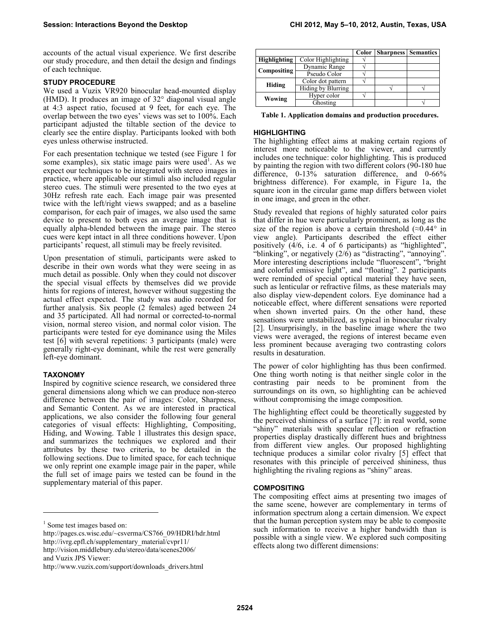accounts of the actual visual experience. We first describe our study procedure, and then detail the design and findings of each technique.

### **STUDY PROCEDURE**

We used a Vuzix VR920 binocular head-mounted display (HMD). It produces an image of  $32^{\circ}$  diagonal visual angle at 4:3 aspect ratio, focused at 9 feet, for each eye. The overlap between the two eyes' views was set to 100%. Each participant adjusted the tiltable section of the device to clearly see the entire display. Participants looked with both eyes unless otherwise instructed.

For each presentation technique we tested (see Figure 1 for some examples), six static image pairs were used<sup>1</sup>. As we expect our techniques to be integrated with stereo images in practice, where applicable our stimuli also included regular stereo cues. The stimuli were presented to the two eyes at 30Hz refresh rate each. Each image pair was presented twice with the left/right views swapped; and as a baseline comparison, for each pair of images, we also used the same device to present to both eyes an average image that is equally alpha-blended between the image pair. The stereo cues were kept intact in all three conditions however. Upon participants' request, all stimuli may be freely revisited.

Upon presentation of stimuli, participants were asked to describe in their own words what they were seeing in as much detail as possible. Only when they could not discover the special visual effects by themselves did we provide hints for regions of interest, however without suggesting the actual effect expected. The study was audio recorded for further analysis. Six people (2 females) aged between 24 and 35 participated. All had normal or corrected-to-normal vision, normal stereo vision, and normal color vision. The participants were tested for eye dominance using the Miles test [6] with several repetitions: 3 participants (male) were generally right-eye dominant, while the rest were generally left-eye dominant.

## **TAXONOMY**

Inspired by cognitive science research, we considered three general dimensions along which we can produce non-stereo difference between the pair of images: Color, Sharpness, and Semantic Content. As we are interested in practical applications, we also consider the following four general categories of visual effects: Highlighting, Compositing, Hiding, and Wowing. Table 1 illustrates this design space, and summarizes the techniques we explored and their attributes by these two criteria, to be detailed in the following sections. Due to limited space, for each technique we only reprint one example image pair in the paper, while the full set of image pairs we tested can be found in the supplementary material of this paper.

-

|                     |                    | Color | <b>Sharpness</b> Semantics |  |
|---------------------|--------------------|-------|----------------------------|--|
| <b>Highlighting</b> | Color Highlighting |       |                            |  |
| Compositing         | Dynamic Range      |       |                            |  |
|                     | Pseudo Color       |       |                            |  |
| Hiding              | Color dot pattern  |       |                            |  |
|                     | Hiding by Blurring |       |                            |  |
| Wowing              | Hyper color        |       |                            |  |
|                     | Ghosting           |       |                            |  |

**Table 1. Application domains and production procedures.**

#### **HIGHLIGHTING**

The highlighting effect aims at making certain regions of interest more noticeable to the viewer, and currently includes one technique: color highlighting. This is produced by painting the region with two different colors (90-180 hue difference, 0-13% saturation difference, and 0-66% brightness difference). For example, in Figure 1a, the square icon in the circular game map differs between violet in one image, and green in the other.

Study revealed that regions of highly saturated color pairs that differ in hue were particularly prominent, as long as the size of the region is above a certain threshold  $(\approx 0.44^{\circ}$  in view angle). Participants described the effect either positively (4/6, i.e. 4 of 6 participants) as "highlighted", "blinking", or negatively  $(2/\bar{6})$  as "distracting", "annoying". More interesting descriptions include "fluorescent", "bright and colorful emissive light", and "floating". 2 participants were reminded of special optical material they have seen, such as lenticular or refractive films, as these materials may also display view-dependent colors. Eye dominance had a noticeable effect, where different sensations were reported when shown inverted pairs. On the other hand, these sensations were unstabilized, as typical in binocular rivalry [2]. Unsurprisingly, in the baseline image where the two views were averaged, the regions of interest became even less prominent because averaging two contrasting colors results in desaturation.

The power of color highlighting has thus been confirmed. One thing worth noting is that neither single color in the contrasting pair needs to be prominent from the surroundings on its own, so highlighting can be achieved without compromising the image composition.

The highlighting effect could be theoretically suggested by the perceived shininess of a surface [7]: in real world, some "shiny" materials with specular reflection or refraction properties display drastically different hues and brightness from different view angles. Our proposed highlighting technique produces a similar color rivalry [5] effect that resonates with this principle of perceived shininess, thus highlighting the rivaling regions as "shiny" areas.

## **COMPOSITING**

The compositing effect aims at presenting two images of the same scene, however are complementary in terms of information spectrum along a certain dimension. We expect that the human perception system may be able to composite such information to receive a higher bandwidth than is possible with a single view. We explored such compositing effects along two different dimensions:

<sup>&</sup>lt;sup>1</sup> Some test images based on:

http://pages.cs.wisc.edu/~csverma/CS766\_09/HDRI/hdr.html http://ivrg.epfl.ch/supplementary\_material/cvpr11/ http://vision.middlebury.edu/stereo/data/scenes2006/ and Vuzix JPS Viewer:

http://www.vuzix.com/support/downloads\_drivers.html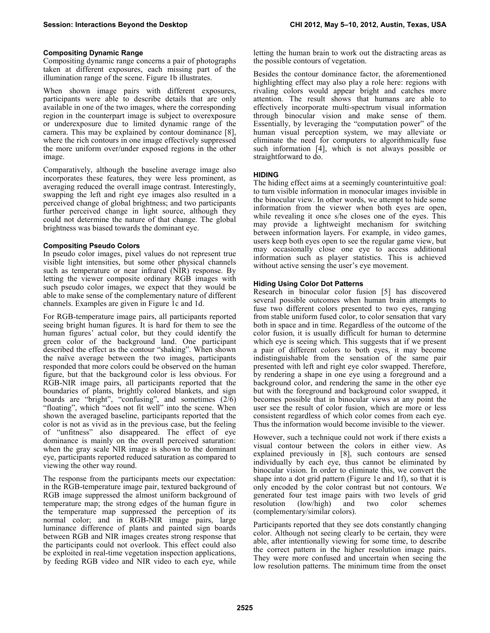#### **Compositing Dynamic Range**

Compositing dynamic range concerns a pair of photographs taken at different exposures, each missing part of the illumination range of the scene. Figure 1b illustrates.

When shown image pairs with different exposures, participants were able to describe details that are only available in one of the two images, where the corresponding region in the counterpart image is subject to overexposure or underexposure due to limited dynamic range of the camera. This may be explained by contour dominance [8], where the rich contours in one image effectively suppressed the more uniform over/under exposed regions in the other image.

Comparatively, although the baseline average image also incorporates these features, they were less prominent, as averaging reduced the overall image contrast. Interestingly, swapping the left and right eye images also resulted in a perceived change of global brightness; and two participants further perceived change in light source, although they could not determine the nature of that change. The global brightness was biased towards the dominant eye.

#### **Compositing Pseudo Colors**

In pseudo color images, pixel values do not represent true visible light intensities, but some other physical channels such as temperature or near infrared (NIR) response. By letting the viewer composite ordinary RGB images with such pseudo color images, we expect that they would be able to make sense of the complementary nature of different channels. Examples are given in Figure 1c and 1d.

For RGB-temperature image pairs, all participants reported seeing bright human figures. It is hard for them to see the human figures' actual color, but they could identify the green color of the background land. One participant described the effect as the contour "shaking". When shown the naïve average between the two images, participants responded that more colors could be observed on the human figure, but that the background color is less obvious. For RGB-NIR image pairs, all participants reported that the boundaries of plants, brightly colored blankets, and sign boards are "bright", "confusing", and sometimes (2/6) "floating", which "does not fit well" into the scene. When shown the averaged baseline, participants reported that the color is not as vivid as in the previous case, but the feeling of "unfitness" also disappeared. The effect of eye dominance is mainly on the overall perceived saturation: when the gray scale NIR image is shown to the dominant eye, participants reported reduced saturation as compared to viewing the other way round.

The response from the participants meets our expectation: in the RGB-temperature image pair, textured background of RGB image suppressed the almost uniform background of temperature map; the strong edges of the human figure in the temperature map suppressed the perception of its normal color; and in RGB-NIR image pairs, large luminance difference of plants and painted sign boards between RGB and NIR images creates strong response that the participants could not overlook. This effect could also be exploited in real-time vegetation inspection applications, by feeding RGB video and NIR video to each eye, while

letting the human brain to work out the distracting areas as the possible contours of vegetation.

Besides the contour dominance factor, the aforementioned highlighting effect may also play a role here: regions with rivaling colors would appear bright and catches more attention. The result shows that humans are able to effectively incorporate multi-spectrum visual information through binocular vision and make sense of them. Essentially, by leveraging the "computation power" of the human visual perception system, we may alleviate or eliminate the need for computers to algorithmically fuse such information [4], which is not always possible or straightforward to do.

## **HIDING**

The hiding effect aims at a seemingly counterintuitive goal: to turn visible information in monocular images invisible in the binocular view. In other words, we attempt to hide some information from the viewer when both eyes are open, while revealing it once s/he closes one of the eyes. This may provide a lightweight mechanism for switching between information layers. For example, in video games, users keep both eyes open to see the regular game view, but may occasionally close one eye to access additional information such as player statistics. This is achieved without active sensing the user's eye movement.

#### **Hiding Using Color Dot Patterns**

Research in binocular color fusion [5] has discovered several possible outcomes when human brain attempts to fuse two different colors presented to two eyes, ranging from stable uniform fused color, to color sensation that vary both in space and in time. Regardless of the outcome of the color fusion, it is usually difficult for human to determine which eye is seeing which. This suggests that if we present a pair of different colors to both eyes, it may become indistinguishable from the sensation of the same pair presented with left and right eye color swapped. Therefore, by rendering a shape in one eye using a foreground and a background color, and rendering the same in the other eye but with the foreground and background color swapped, it becomes possible that in binocular views at any point the user see the result of color fusion, which are more or less consistent regardless of which color comes from each eye. Thus the information would become invisible to the viewer.

However, such a technique could not work if there exists a visual contour between the colors in either view. As explained previously in [8], such contours are sensed individually by each eye, thus cannot be eliminated by binocular vision. In order to eliminate this, we convert the shape into a dot grid pattern (Figure 1e and 1f), so that it is only encoded by the color contrast but not contours. We generated four test image pairs with two levels of grid resolution (low/high) and two color schemes (complementary/similar colors).

Participants reported that they see dots constantly changing color. Although not seeing clearly to be certain, they were able, after intentionally viewing for some time, to describe the correct pattern in the higher resolution image pairs. They were more confused and uncertain when seeing the low resolution patterns. The minimum time from the onset